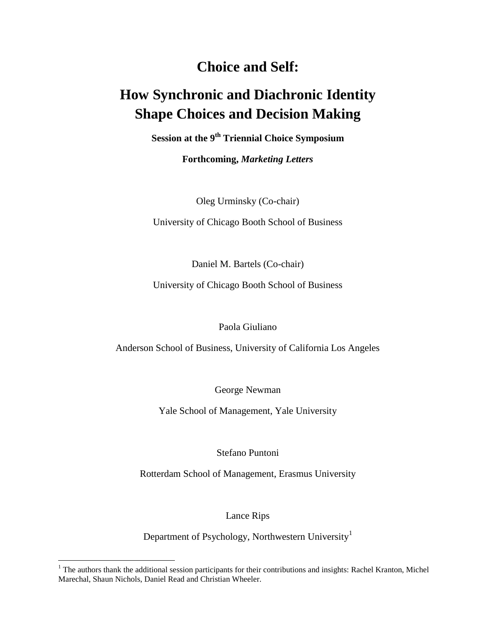# **Choice and Self:**

# **How Synchronic and Diachronic Identity Shape Choices and Decision Making**

**Session at the 9th Triennial Choice Symposium**

**Forthcoming,** *Marketing Letters*

Oleg Urminsky (Co-chair)

University of Chicago Booth School of Business

Daniel M. Bartels (Co-chair)

University of Chicago Booth School of Business

Paola Giuliano

Anderson School of Business, University of California Los Angeles

George Newman

Yale School of Management, Yale University

Stefano Puntoni

Rotterdam School of Management, Erasmus University

Lance Rips

Department of Psychology, Northwestern University<sup>1</sup>

 $\overline{a}$ 

 $1$  The authors thank the additional session participants for their contributions and insights: Rachel Kranton, Michel Marechal, Shaun Nichols, Daniel Read and Christian Wheeler.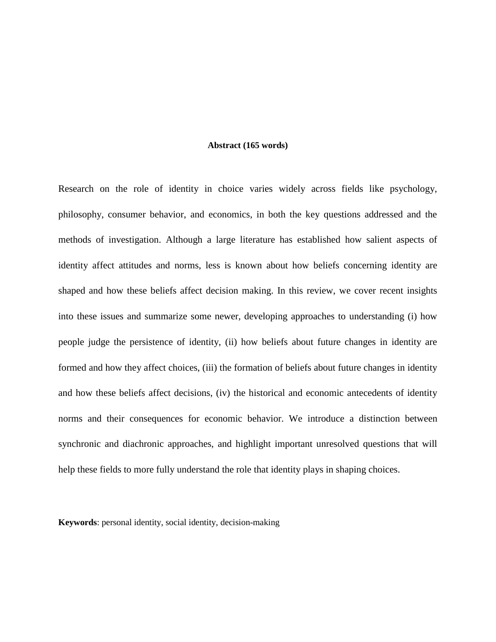#### **Abstract (165 words)**

Research on the role of identity in choice varies widely across fields like psychology, philosophy, consumer behavior, and economics, in both the key questions addressed and the methods of investigation. Although a large literature has established how salient aspects of identity affect attitudes and norms, less is known about how beliefs concerning identity are shaped and how these beliefs affect decision making. In this review, we cover recent insights into these issues and summarize some newer, developing approaches to understanding (i) how people judge the persistence of identity, (ii) how beliefs about future changes in identity are formed and how they affect choices, (iii) the formation of beliefs about future changes in identity and how these beliefs affect decisions, (iv) the historical and economic antecedents of identity norms and their consequences for economic behavior. We introduce a distinction between synchronic and diachronic approaches, and highlight important unresolved questions that will help these fields to more fully understand the role that identity plays in shaping choices.

**Keywords**: personal identity, social identity, decision-making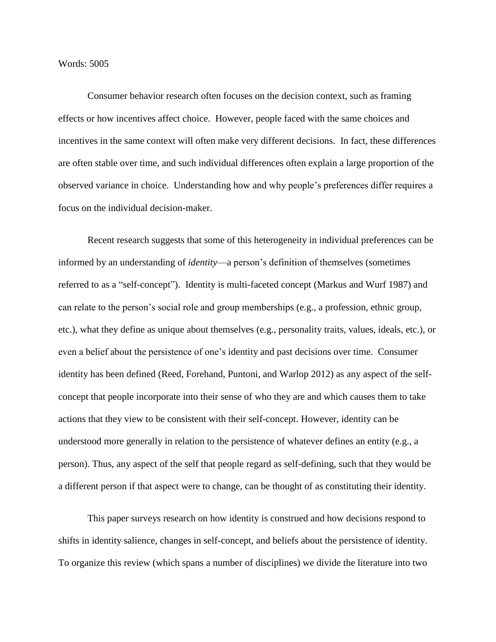# Words: 5005

Consumer behavior research often focuses on the decision context, such as framing effects or how incentives affect choice. However, people faced with the same choices and incentives in the same context will often make very different decisions. In fact, these differences are often stable over time, and such individual differences often explain a large proportion of the observed variance in choice. Understanding how and why people's preferences differ requires a focus on the individual decision-maker.

Recent research suggests that some of this heterogeneity in individual preferences can be informed by an understanding of *identity*—a person's definition of themselves (sometimes referred to as a "self-concept"). Identity is multi-faceted concept (Markus and Wurf 1987) and can relate to the person's social role and group memberships (e.g., a profession, ethnic group, etc.), what they define as unique about themselves (e.g., personality traits, values, ideals, etc.), or even a belief about the persistence of one's identity and past decisions over time. Consumer identity has been defined (Reed, Forehand, Puntoni, and Warlop 2012) as any aspect of the selfconcept that people incorporate into their sense of who they are and which causes them to take actions that they view to be consistent with their self-concept. However, identity can be understood more generally in relation to the persistence of whatever defines an entity (e.g., a person). Thus, any aspect of the self that people regard as self-defining, such that they would be a different person if that aspect were to change, can be thought of as constituting their identity.

This paper surveys research on how identity is construed and how decisions respond to shifts in identity salience, changes in self-concept, and beliefs about the persistence of identity. To organize this review (which spans a number of disciplines) we divide the literature into two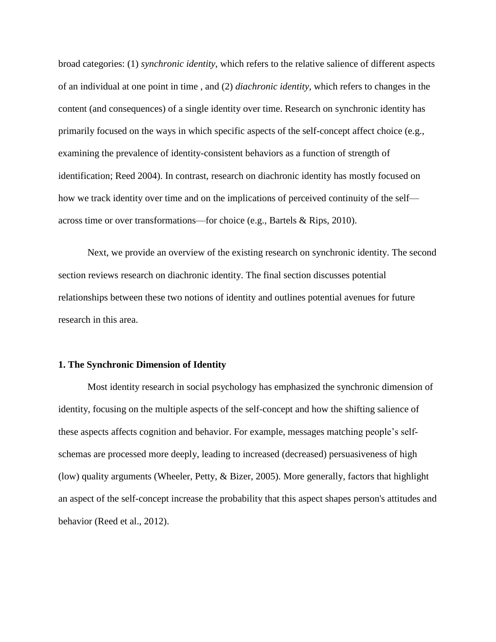broad categories: (1) *synchronic identity*, which refers to the relative salience of different aspects of an individual at one point in time , and (2) *diachronic identity,* which refers to changes in the content (and consequences) of a single identity over time. Research on synchronic identity has primarily focused on the ways in which specific aspects of the self-concept affect choice (e.g., examining the prevalence of identity-consistent behaviors as a function of strength of identification; Reed 2004). In contrast, research on diachronic identity has mostly focused on how we track identity over time and on the implications of perceived continuity of the self across time or over transformations—for choice (e.g., Bartels & Rips, 2010).

Next, we provide an overview of the existing research on synchronic identity. The second section reviews research on diachronic identity. The final section discusses potential relationships between these two notions of identity and outlines potential avenues for future research in this area.

#### **1. The Synchronic Dimension of Identity**

Most identity research in social psychology has emphasized the synchronic dimension of identity, focusing on the multiple aspects of the self-concept and how the shifting salience of these aspects affects cognition and behavior. For example, messages matching people's selfschemas are processed more deeply, leading to increased (decreased) persuasiveness of high (low) quality arguments (Wheeler, Petty, & Bizer, 2005). More generally, factors that highlight an aspect of the self-concept increase the probability that this aspect shapes person's attitudes and behavior (Reed et al., 2012).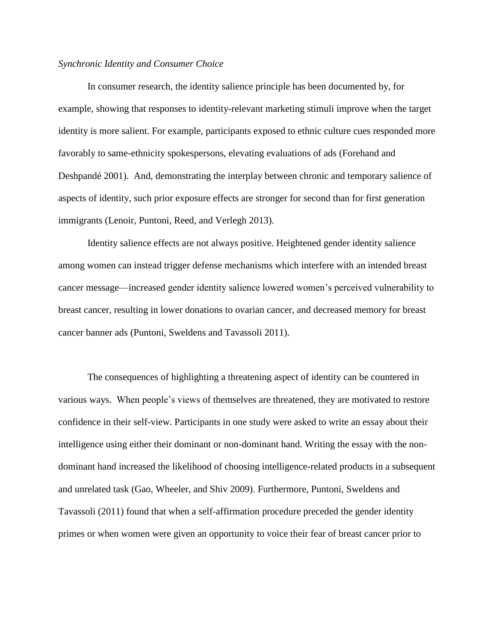# *Synchronic Identity and Consumer Choice*

In consumer research, the identity salience principle has been documented by, for example, showing that responses to identity-relevant marketing stimuli improve when the target identity is more salient. For example, participants exposed to ethnic culture cues responded more favorably to same-ethnicity spokespersons, elevating evaluations of ads (Forehand and Deshpandé 2001). And, demonstrating the interplay between chronic and temporary salience of aspects of identity, such prior exposure effects are stronger for second than for first generation immigrants (Lenoir, Puntoni, Reed, and Verlegh 2013).

Identity salience effects are not always positive. Heightened gender identity salience among women can instead trigger defense mechanisms which interfere with an intended breast cancer message—increased gender identity salience lowered women's perceived vulnerability to breast cancer, resulting in lower donations to ovarian cancer, and decreased memory for breast cancer banner ads (Puntoni, Sweldens and Tavassoli 2011).

The consequences of highlighting a threatening aspect of identity can be countered in various ways. When people's views of themselves are threatened, they are motivated to restore confidence in their self-view. Participants in one study were asked to write an essay about their intelligence using either their dominant or non-dominant hand. Writing the essay with the nondominant hand increased the likelihood of choosing intelligence-related products in a subsequent and unrelated task (Gao, Wheeler, and Shiv 2009). Furthermore, Puntoni, Sweldens and Tavassoli (2011) found that when a self-affirmation procedure preceded the gender identity primes or when women were given an opportunity to voice their fear of breast cancer prior to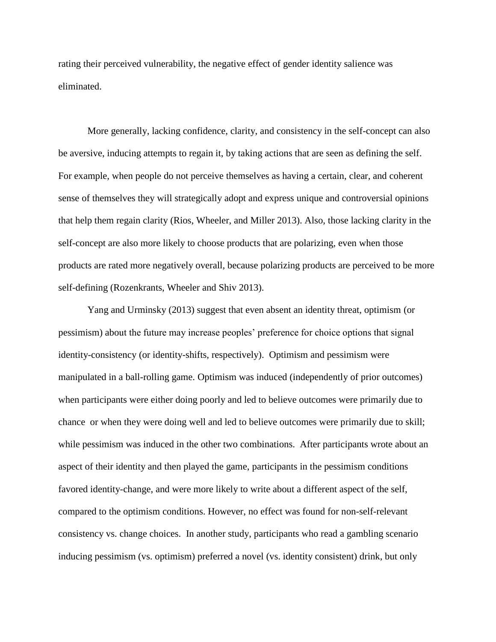rating their perceived vulnerability, the negative effect of gender identity salience was eliminated.

More generally, lacking confidence, clarity, and consistency in the self-concept can also be aversive, inducing attempts to regain it, by taking actions that are seen as defining the self. For example, when people do not perceive themselves as having a certain, clear, and coherent sense of themselves they will strategically adopt and express unique and controversial opinions that help them regain clarity (Rios, Wheeler, and Miller 2013). Also, those lacking clarity in the self-concept are also more likely to choose products that are polarizing, even when those products are rated more negatively overall, because polarizing products are perceived to be more self-defining (Rozenkrants, Wheeler and Shiv 2013).

Yang and Urminsky (2013) suggest that even absent an identity threat, optimism (or pessimism) about the future may increase peoples' preference for choice options that signal identity-consistency (or identity-shifts, respectively). Optimism and pessimism were manipulated in a ball-rolling game. Optimism was induced (independently of prior outcomes) when participants were either doing poorly and led to believe outcomes were primarily due to chance or when they were doing well and led to believe outcomes were primarily due to skill; while pessimism was induced in the other two combinations. After participants wrote about an aspect of their identity and then played the game, participants in the pessimism conditions favored identity-change, and were more likely to write about a different aspect of the self, compared to the optimism conditions. However, no effect was found for non-self-relevant consistency vs. change choices. In another study, participants who read a gambling scenario inducing pessimism (vs. optimism) preferred a novel (vs. identity consistent) drink, but only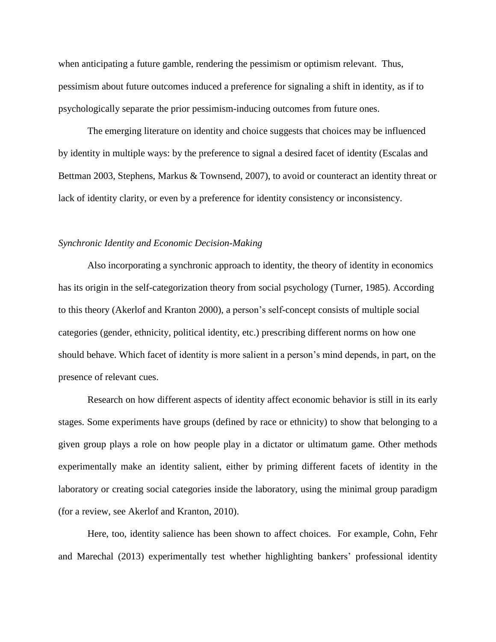when anticipating a future gamble, rendering the pessimism or optimism relevant. Thus, pessimism about future outcomes induced a preference for signaling a shift in identity, as if to psychologically separate the prior pessimism-inducing outcomes from future ones.

The emerging literature on identity and choice suggests that choices may be influenced by identity in multiple ways: by the preference to signal a desired facet of identity (Escalas and Bettman 2003, Stephens, Markus & Townsend, 2007), to avoid or counteract an identity threat or lack of identity clarity, or even by a preference for identity consistency or inconsistency.

# *Synchronic Identity and Economic Decision-Making*

Also incorporating a synchronic approach to identity, the theory of identity in economics has its origin in the self-categorization theory from social psychology (Turner, 1985). According to this theory (Akerlof and Kranton 2000), a person's self-concept consists of multiple social categories (gender, ethnicity, political identity, etc.) prescribing different norms on how one should behave. Which facet of identity is more salient in a person's mind depends, in part, on the presence of relevant cues.

Research on how different aspects of identity affect economic behavior is still in its early stages. Some experiments have groups (defined by race or ethnicity) to show that belonging to a given group plays a role on how people play in a dictator or ultimatum game. Other methods experimentally make an identity salient, either by priming different facets of identity in the laboratory or creating social categories inside the laboratory, using the minimal group paradigm (for a review, see Akerlof and Kranton, 2010).

Here, too, identity salience has been shown to affect choices. For example, Cohn, Fehr and Marechal (2013) experimentally test whether highlighting bankers' professional identity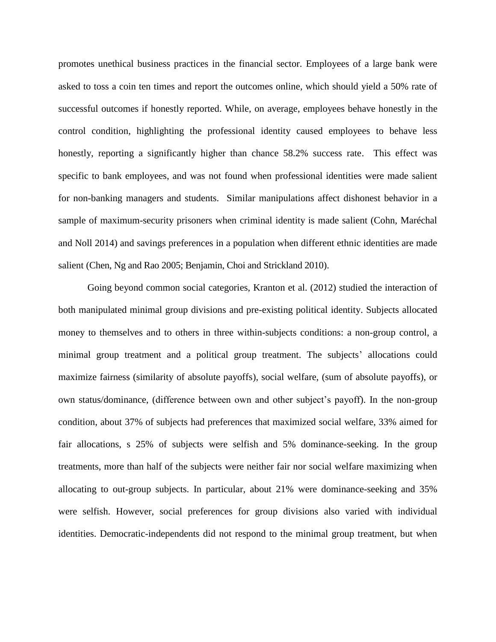promotes unethical business practices in the financial sector. Employees of a large bank were asked to toss a coin ten times and report the outcomes online, which should yield a 50% rate of successful outcomes if honestly reported. While, on average, employees behave honestly in the control condition, highlighting the professional identity caused employees to behave less honestly, reporting a significantly higher than chance 58.2% success rate. This effect was specific to bank employees, and was not found when professional identities were made salient for non-banking managers and students. Similar manipulations affect dishonest behavior in a sample of maximum-security prisoners when criminal identity is made salient (Cohn, Maréchal and Noll 2014) and savings preferences in a population when different ethnic identities are made salient (Chen, Ng and Rao 2005; Benjamin, Choi and Strickland 2010).

Going beyond common social categories, Kranton et al. (2012) studied the interaction of both manipulated minimal group divisions and pre-existing political identity. Subjects allocated money to themselves and to others in three within-subjects conditions: a non-group control, a minimal group treatment and a political group treatment. The subjects' allocations could maximize fairness (similarity of absolute payoffs), social welfare, (sum of absolute payoffs), or own status/dominance, (difference between own and other subject's payoff). In the non-group condition, about 37% of subjects had preferences that maximized social welfare, 33% aimed for fair allocations, s 25% of subjects were selfish and 5% dominance-seeking. In the group treatments, more than half of the subjects were neither fair nor social welfare maximizing when allocating to out-group subjects. In particular, about 21% were dominance-seeking and 35% were selfish. However, social preferences for group divisions also varied with individual identities. Democratic-independents did not respond to the minimal group treatment, but when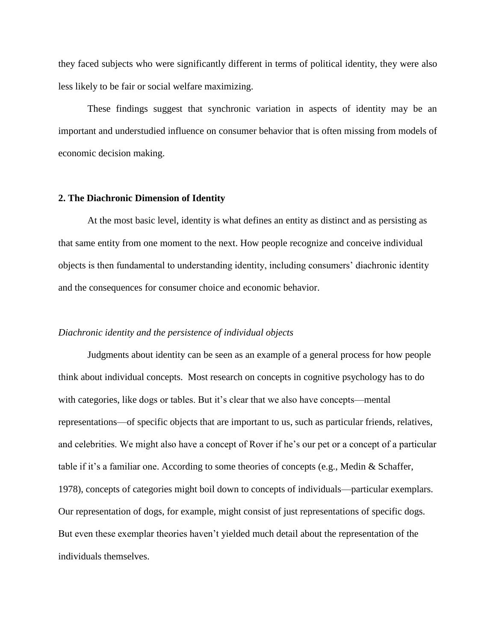they faced subjects who were significantly different in terms of political identity, they were also less likely to be fair or social welfare maximizing.

These findings suggest that synchronic variation in aspects of identity may be an important and understudied influence on consumer behavior that is often missing from models of economic decision making.

#### **2. The Diachronic Dimension of Identity**

At the most basic level, identity is what defines an entity as distinct and as persisting as that same entity from one moment to the next. How people recognize and conceive individual objects is then fundamental to understanding identity, including consumers' diachronic identity and the consequences for consumer choice and economic behavior.

# *Diachronic identity and the persistence of individual objects*

Judgments about identity can be seen as an example of a general process for how people think about individual concepts. Most research on concepts in cognitive psychology has to do with categories, like dogs or tables. But it's clear that we also have concepts—mental representations—of specific objects that are important to us, such as particular friends, relatives, and celebrities. We might also have a concept of Rover if he's our pet or a concept of a particular table if it's a familiar one. According to some theories of concepts (e.g., Medin & Schaffer, 1978), concepts of categories might boil down to concepts of individuals—particular exemplars. Our representation of dogs, for example, might consist of just representations of specific dogs. But even these exemplar theories haven't yielded much detail about the representation of the individuals themselves.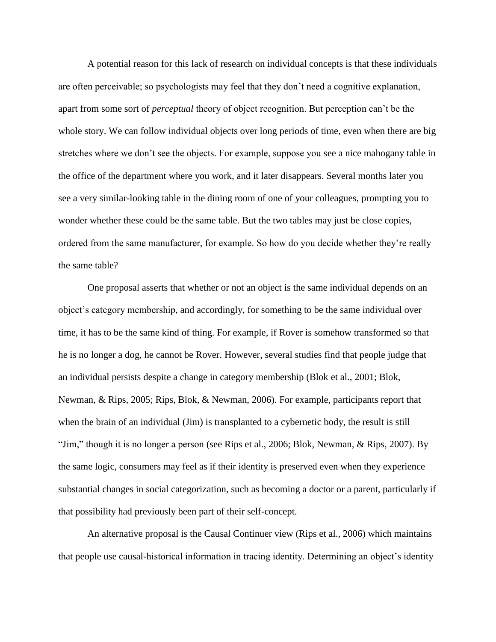A potential reason for this lack of research on individual concepts is that these individuals are often perceivable; so psychologists may feel that they don't need a cognitive explanation, apart from some sort of *perceptual* theory of object recognition. But perception can't be the whole story. We can follow individual objects over long periods of time, even when there are big stretches where we don't see the objects. For example, suppose you see a nice mahogany table in the office of the department where you work, and it later disappears. Several months later you see a very similar-looking table in the dining room of one of your colleagues, prompting you to wonder whether these could be the same table. But the two tables may just be close copies, ordered from the same manufacturer, for example. So how do you decide whether they're really the same table?

One proposal asserts that whether or not an object is the same individual depends on an object's category membership, and accordingly, for something to be the same individual over time, it has to be the same kind of thing. For example, if Rover is somehow transformed so that he is no longer a dog, he cannot be Rover. However, several studies find that people judge that an individual persists despite a change in category membership (Blok et al., 2001; Blok, Newman, & Rips, 2005; Rips, Blok, & Newman, 2006). For example, participants report that when the brain of an individual (Jim) is transplanted to a cybernetic body, the result is still "Jim," though it is no longer a person (see Rips et al., 2006; Blok, Newman, & Rips, 2007). By the same logic, consumers may feel as if their identity is preserved even when they experience substantial changes in social categorization, such as becoming a doctor or a parent, particularly if that possibility had previously been part of their self-concept.

An alternative proposal is the Causal Continuer view (Rips et al., 2006) which maintains that people use causal-historical information in tracing identity. Determining an object's identity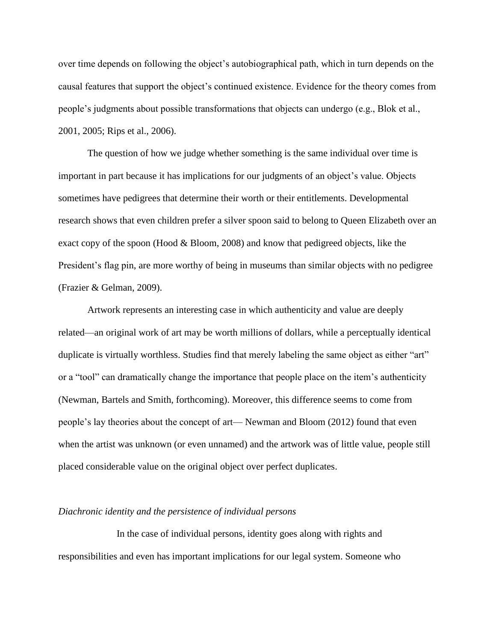over time depends on following the object's autobiographical path, which in turn depends on the causal features that support the object's continued existence. Evidence for the theory comes from people's judgments about possible transformations that objects can undergo (e.g., Blok et al., 2001, 2005; Rips et al., 2006).

The question of how we judge whether something is the same individual over time is important in part because it has implications for our judgments of an object's value. Objects sometimes have pedigrees that determine their worth or their entitlements. Developmental research shows that even children prefer a silver spoon said to belong to Queen Elizabeth over an exact copy of the spoon (Hood & Bloom, 2008) and know that pedigreed objects, like the President's flag pin, are more worthy of being in museums than similar objects with no pedigree (Frazier & Gelman, 2009).

Artwork represents an interesting case in which authenticity and value are deeply related—an original work of art may be worth millions of dollars, while a perceptually identical duplicate is virtually worthless. Studies find that merely labeling the same object as either "art" or a "tool" can dramatically change the importance that people place on the item's authenticity (Newman, Bartels and Smith, forthcoming). Moreover, this difference seems to come from people's lay theories about the concept of art— Newman and Bloom (2012) found that even when the artist was unknown (or even unnamed) and the artwork was of little value, people still placed considerable value on the original object over perfect duplicates.

#### *Diachronic identity and the persistence of individual persons*

In the case of individual persons, identity goes along with rights and responsibilities and even has important implications for our legal system. Someone who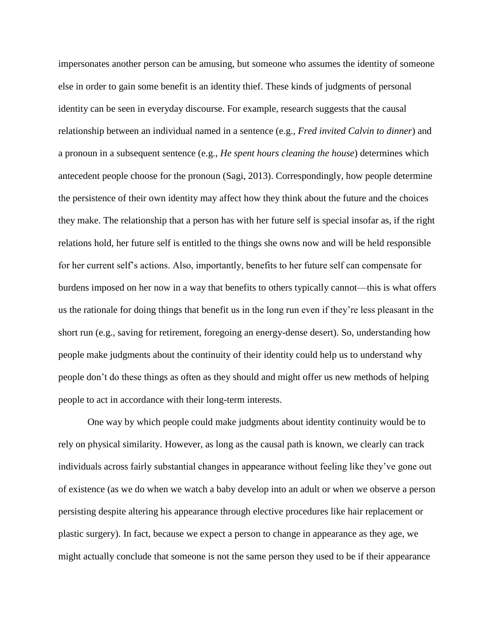impersonates another person can be amusing, but someone who assumes the identity of someone else in order to gain some benefit is an identity thief. These kinds of judgments of personal identity can be seen in everyday discourse. For example, research suggests that the causal relationship between an individual named in a sentence (e.g., *Fred invited Calvin to dinner*) and a pronoun in a subsequent sentence (e.g., *He spent hours cleaning the house*) determines which antecedent people choose for the pronoun (Sagi, 2013). Correspondingly, how people determine the persistence of their own identity may affect how they think about the future and the choices they make. The relationship that a person has with her future self is special insofar as, if the right relations hold, her future self is entitled to the things she owns now and will be held responsible for her current self's actions. Also, importantly, benefits to her future self can compensate for burdens imposed on her now in a way that benefits to others typically cannot—this is what offers us the rationale for doing things that benefit us in the long run even if they're less pleasant in the short run (e.g., saving for retirement, foregoing an energy-dense desert). So, understanding how people make judgments about the continuity of their identity could help us to understand why people don't do these things as often as they should and might offer us new methods of helping people to act in accordance with their long-term interests.

One way by which people could make judgments about identity continuity would be to rely on physical similarity. However, as long as the causal path is known, we clearly can track individuals across fairly substantial changes in appearance without feeling like they've gone out of existence (as we do when we watch a baby develop into an adult or when we observe a person persisting despite altering his appearance through elective procedures like hair replacement or plastic surgery). In fact, because we expect a person to change in appearance as they age, we might actually conclude that someone is not the same person they used to be if their appearance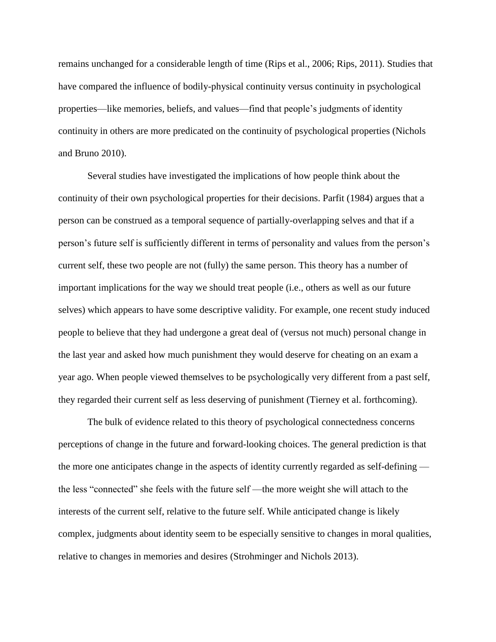remains unchanged for a considerable length of time (Rips et al., 2006; Rips, 2011). Studies that have compared the influence of bodily-physical continuity versus continuity in psychological properties—like memories, beliefs, and values—find that people's judgments of identity continuity in others are more predicated on the continuity of psychological properties (Nichols and Bruno 2010).

Several studies have investigated the implications of how people think about the continuity of their own psychological properties for their decisions. Parfit (1984) argues that a person can be construed as a temporal sequence of partially-overlapping selves and that if a person's future self is sufficiently different in terms of personality and values from the person's current self, these two people are not (fully) the same person. This theory has a number of important implications for the way we should treat people (i.e., others as well as our future selves) which appears to have some descriptive validity. For example, one recent study induced people to believe that they had undergone a great deal of (versus not much) personal change in the last year and asked how much punishment they would deserve for cheating on an exam a year ago. When people viewed themselves to be psychologically very different from a past self, they regarded their current self as less deserving of punishment (Tierney et al. forthcoming).

The bulk of evidence related to this theory of psychological connectedness concerns perceptions of change in the future and forward-looking choices. The general prediction is that the more one anticipates change in the aspects of identity currently regarded as self-defining the less "connected" she feels with the future self —the more weight she will attach to the interests of the current self, relative to the future self. While anticipated change is likely complex, judgments about identity seem to be especially sensitive to changes in moral qualities, relative to changes in memories and desires (Strohminger and Nichols 2013).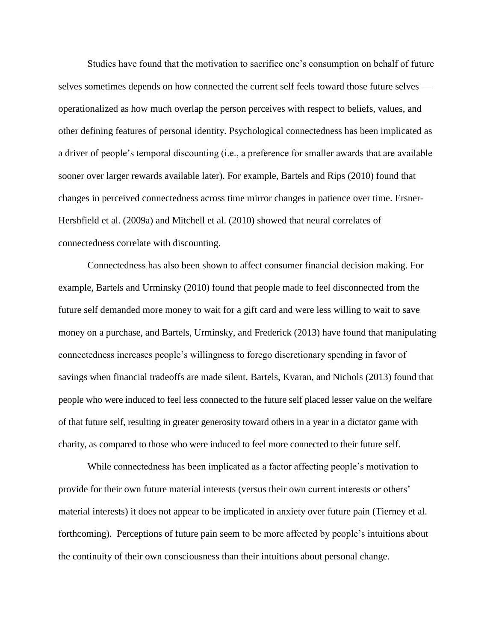Studies have found that the motivation to sacrifice one's consumption on behalf of future selves sometimes depends on how connected the current self feels toward those future selves operationalized as how much overlap the person perceives with respect to beliefs, values, and other defining features of personal identity. Psychological connectedness has been implicated as a driver of people's temporal discounting (i.e., a preference for smaller awards that are available sooner over larger rewards available later). For example, Bartels and Rips (2010) found that changes in perceived connectedness across time mirror changes in patience over time. Ersner-Hershfield et al. (2009a) and Mitchell et al. (2010) showed that neural correlates of connectedness correlate with discounting.

Connectedness has also been shown to affect consumer financial decision making. For example, Bartels and Urminsky (2010) found that people made to feel disconnected from the future self demanded more money to wait for a gift card and were less willing to wait to save money on a purchase, and Bartels, Urminsky, and Frederick (2013) have found that manipulating connectedness increases people's willingness to forego discretionary spending in favor of savings when financial tradeoffs are made silent. Bartels, Kvaran, and Nichols (2013) found that people who were induced to feel less connected to the future self placed lesser value on the welfare of that future self, resulting in greater generosity toward others in a year in a dictator game with charity, as compared to those who were induced to feel more connected to their future self.

While connectedness has been implicated as a factor affecting people's motivation to provide for their own future material interests (versus their own current interests or others' material interests) it does not appear to be implicated in anxiety over future pain (Tierney et al. forthcoming). Perceptions of future pain seem to be more affected by people's intuitions about the continuity of their own consciousness than their intuitions about personal change.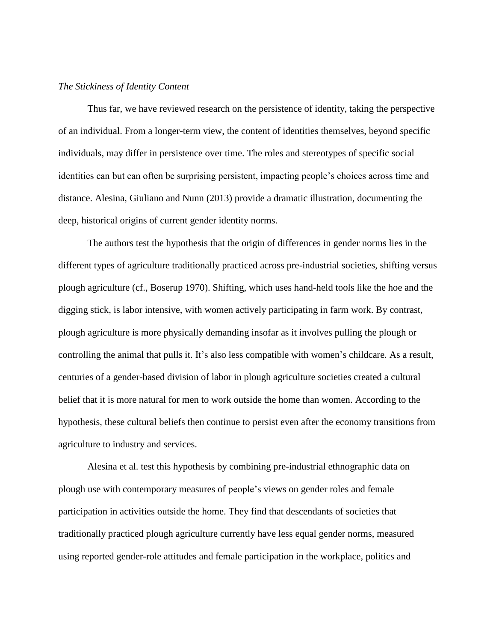# *The Stickiness of Identity Content*

Thus far, we have reviewed research on the persistence of identity, taking the perspective of an individual. From a longer-term view, the content of identities themselves, beyond specific individuals, may differ in persistence over time. The roles and stereotypes of specific social identities can but can often be surprising persistent, impacting people's choices across time and distance. Alesina, Giuliano and Nunn (2013) provide a dramatic illustration, documenting the deep, historical origins of current gender identity norms.

The authors test the hypothesis that the origin of differences in gender norms lies in the different types of agriculture traditionally practiced across pre-industrial societies, shifting versus plough agriculture (cf., Boserup 1970). Shifting, which uses hand-held tools like the hoe and the digging stick, is labor intensive, with women actively participating in farm work. By contrast, plough agriculture is more physically demanding insofar as it involves pulling the plough or controlling the animal that pulls it. It's also less compatible with women's childcare. As a result, centuries of a gender-based division of labor in plough agriculture societies created a cultural belief that it is more natural for men to work outside the home than women. According to the hypothesis, these cultural beliefs then continue to persist even after the economy transitions from agriculture to industry and services.

Alesina et al. test this hypothesis by combining pre-industrial ethnographic data on plough use with contemporary measures of people's views on gender roles and female participation in activities outside the home. They find that descendants of societies that traditionally practiced plough agriculture currently have less equal gender norms, measured using reported gender-role attitudes and female participation in the workplace, politics and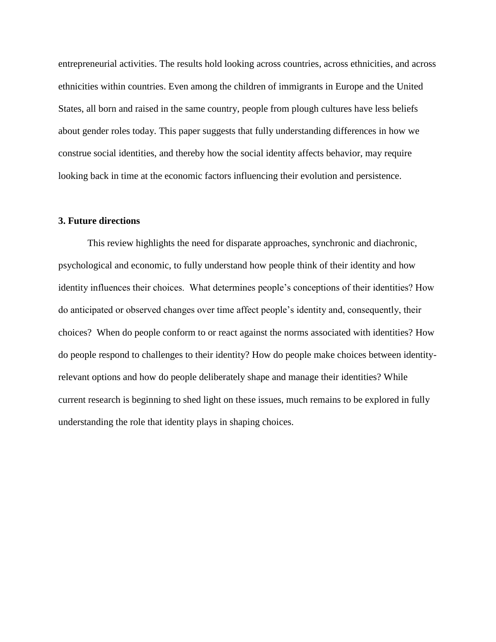entrepreneurial activities. The results hold looking across countries, across ethnicities, and across ethnicities within countries. Even among the children of immigrants in Europe and the United States, all born and raised in the same country, people from plough cultures have less beliefs about gender roles today. This paper suggests that fully understanding differences in how we construe social identities, and thereby how the social identity affects behavior, may require looking back in time at the economic factors influencing their evolution and persistence.

# **3. Future directions**

This review highlights the need for disparate approaches, synchronic and diachronic, psychological and economic, to fully understand how people think of their identity and how identity influences their choices. What determines people's conceptions of their identities? How do anticipated or observed changes over time affect people's identity and, consequently, their choices? When do people conform to or react against the norms associated with identities? How do people respond to challenges to their identity? How do people make choices between identityrelevant options and how do people deliberately shape and manage their identities? While current research is beginning to shed light on these issues, much remains to be explored in fully understanding the role that identity plays in shaping choices.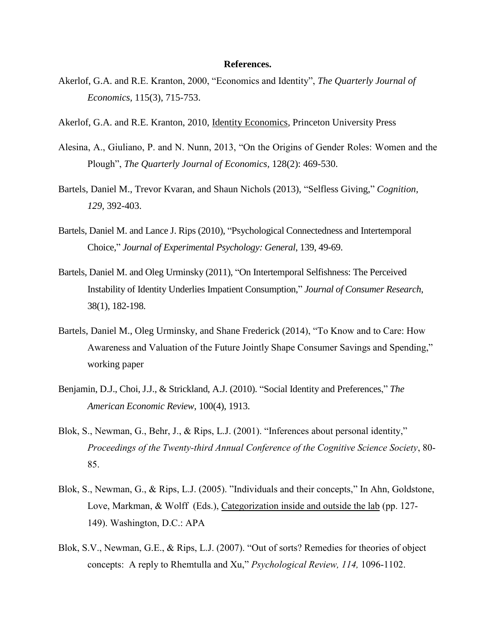# **References.**

- Akerlof, G.A. and R.E. Kranton, 2000, "Economics and Identity", *The Quarterly Journal of Economics,* 115(3), 715-753.
- Akerlof, G.A. and R.E. Kranton, 2010, Identity Economics*,* Princeton University Press
- Alesina, A., Giuliano, P. and N. Nunn, 2013, "On the Origins of Gender Roles: Women and the Plough", *The Quarterly Journal of Economics,* 128(2): 469-530.
- Bartels, Daniel M., Trevor Kvaran, and Shaun Nichols (2013), "Selfless Giving," *Cognition, 129*, 392-403.
- Bartels, Daniel M. and Lance J. Rips (2010), "Psychological Connectedness and Intertemporal Choice," *Journal of Experimental Psychology: General*, 139, 49-69.
- Bartels, Daniel M. and Oleg Urminsky (2011), "On Intertemporal Selfishness: The Perceived Instability of Identity Underlies Impatient Consumption," *Journal of Consumer Research*, 38(1), 182-198.
- Bartels, Daniel M., Oleg Urminsky, and Shane Frederick (2014), "To Know and to Care: How Awareness and Valuation of the Future Jointly Shape Consumer Savings and Spending," working paper
- Benjamin, D.J., Choi, J.J., & Strickland, A.J. (2010). "Social Identity and Preferences," *The American Economic Review*, 100(4), 1913.
- Blok, S., Newman, G., Behr, J., & Rips, L.J. (2001). "Inferences about personal identity," *Proceedings of the Twenty-third Annual Conference of the Cognitive Science Society*, 80- 85.
- Blok, S., Newman, G., & Rips, L.J. (2005). "Individuals and their concepts," In Ahn, Goldstone, Love, Markman, & Wolff (Eds.), Categorization inside and outside the lab (pp. 127- 149). Washington, D.C.: APA
- Blok, S.V., Newman, G.E., & Rips, L.J. (2007). "Out of sorts? Remedies for theories of object concepts: A reply to Rhemtulla and Xu," *Psychological Review, 114,* 1096-1102.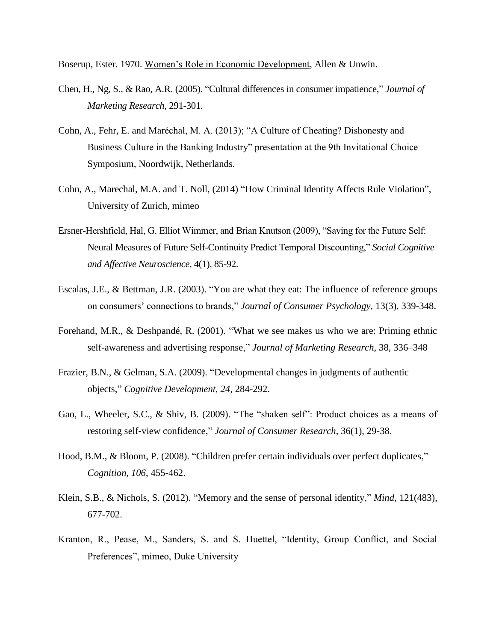Boserup, Ester. 1970. Women's Role in Economic Development, Allen & Unwin.

- Chen, H., Ng, S., & Rao, A.R. (2005). "Cultural differences in consumer impatience," *Journal of Marketing Research*, 291-301.
- Cohn, A., Fehr, E. and Maréchal, M. A. (2013); "A Culture of Cheating? Dishonesty and Business Culture in the Banking Industry" presentation at the 9th Invitational Choice Symposium, Noordwijk, Netherlands.
- Cohn, A., Marechal, M.A. and T. Noll, (2014) "How Criminal Identity Affects Rule Violation", University of Zurich, mimeo
- Ersner-Hershfield, Hal, G. Elliot Wimmer, and Brian Knutson (2009), "Saving for the Future Self: Neural Measures of Future Self-Continuity Predict Temporal Discounting," *Social Cognitive and Affective Neuroscience*, 4(1), 85-92.
- Escalas, J.E., & Bettman, J.R. (2003). "You are what they eat: The influence of reference groups on consumers' connections to brands," *Journal of Consumer Psychology*, 13(3), 339-348.
- Forehand, M.R., & Deshpandé, R. (2001). "What we see makes us who we are: Priming ethnic self-awareness and advertising response," *Journal of Marketing Research*, 38, 336–348
- Frazier, B.N., & Gelman, S.A. (2009). "Developmental changes in judgments of authentic objects," *Cognitive Development, 24*, 284-292.
- Gao, L., Wheeler, S.C., & Shiv, B. (2009). "The "shaken self": Product choices as a means of restoring self‐view confidence," *Journal of Consumer Research*, 36(1), 29-38.
- Hood, B.M., & Bloom, P. (2008). "Children prefer certain individuals over perfect duplicates," *Cognition, 106*, 455-462.
- Klein, S.B., & Nichols, S. (2012). "Memory and the sense of personal identity," *Mind*, 121(483), 677-702.
- Kranton, R., Pease, M., Sanders, S. and S. Huettel, "Identity, Group Conflict, and Social Preferences", mimeo, Duke University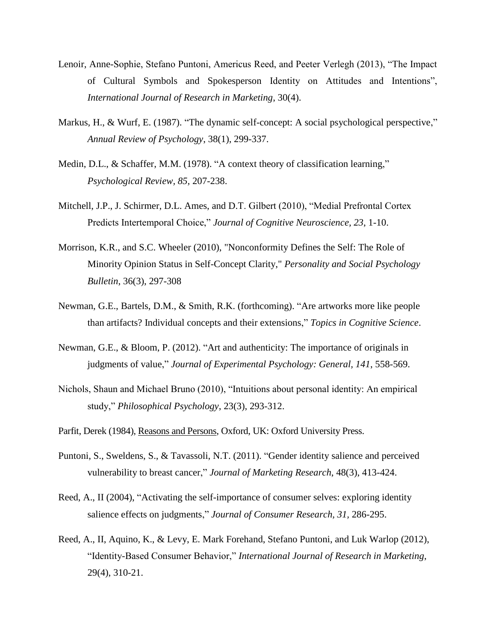- Lenoir, Anne-Sophie, Stefano Puntoni, Americus Reed, and Peeter Verlegh (2013), "The Impact of Cultural Symbols and Spokesperson Identity on Attitudes and Intentions", *International Journal of Research in Marketing*, 30(4).
- Markus, H., & Wurf, E. (1987). "The dynamic self-concept: A social psychological perspective," *Annual Review of Psychology*, 38(1), 299-337.
- Medin, D.L., & Schaffer, M.M. (1978). "A context theory of classification learning," *Psychological Review, 85,* 207-238.
- Mitchell, J.P., J. Schirmer, D.L. Ames, and D.T. Gilbert (2010), "Medial Prefrontal Cortex Predicts Intertemporal Choice," *Journal of Cognitive Neuroscience, 23*, 1-10.
- Morrison, K.R., and S.C. Wheeler (2010), "Nonconformity Defines the Self: The Role of Minority Opinion Status in Self-Concept Clarity," *Personality and Social Psychology Bulletin*, 36(3), 297-308
- Newman, G.E., Bartels, D.M., & Smith, R.K. (forthcoming). "Are artworks more like people than artifacts? Individual concepts and their extensions," *Topics in Cognitive Science*.
- Newman, G.E., & Bloom, P. (2012). "Art and authenticity: The importance of originals in judgments of value," *Journal of Experimental Psychology: General, 141*, 558-569.
- Nichols, Shaun and Michael Bruno (2010), "Intuitions about personal identity: An empirical study," *Philosophical Psychology*, 23(3), 293-312.
- Parfit, Derek (1984), Reasons and Persons, Oxford, UK: Oxford University Press.
- Puntoni, S., Sweldens, S., & Tavassoli, N.T. (2011). "Gender identity salience and perceived vulnerability to breast cancer," *Journal of Marketing Research*, 48(3), 413-424.
- Reed, A., II (2004), "Activating the self-importance of consumer selves: exploring identity salience effects on judgments," *Journal of Consumer Research, 31,* 286-295.
- Reed, A., II, Aquino, K., & Levy, E. Mark Forehand, Stefano Puntoni, and Luk Warlop (2012), "Identity-Based Consumer Behavior," *International Journal of Research in Marketing*, 29(4), 310-21.